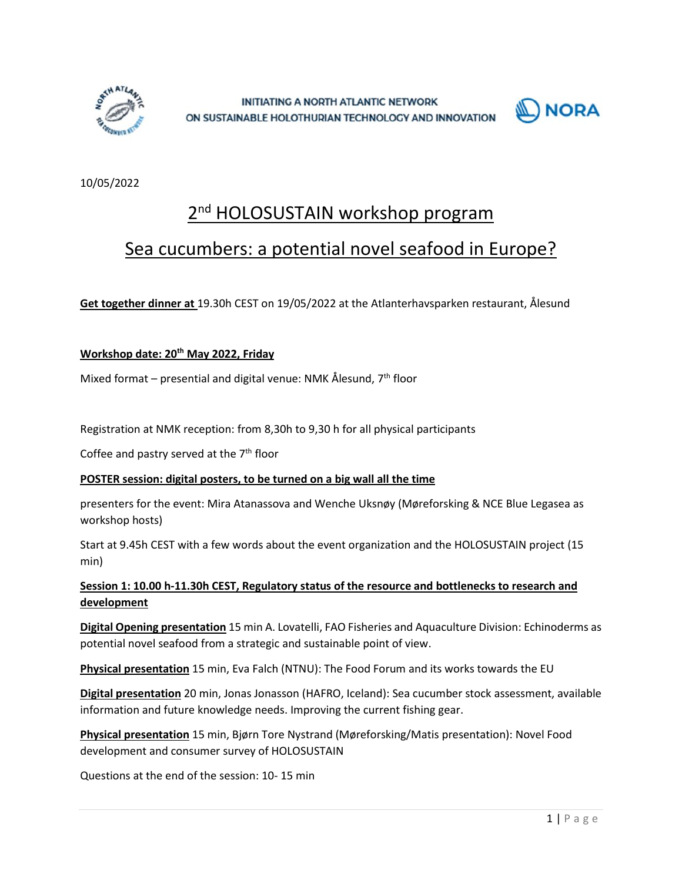



10/05/2022

# 2<sup>nd</sup> HOLOSUSTAIN workshop program

## Sea cucumbers: a potential novel seafood in Europe?

**Get together dinner at** 19.30h CEST on 19/05/2022 at the Atlanterhavsparken restaurant, Ålesund

#### **Workshop date: 20th May 2022, Friday**

Mixed format – presential and digital venue: NMK Ålesund,  $7<sup>th</sup>$  floor

Registration at NMK reception: from 8,30h to 9,30 h for all physical participants

Coffee and pastry served at the  $7<sup>th</sup>$  floor

#### **POSTER session: digital posters, to be turned on a big wall all the time**

presenters for the event: Mira Atanassova and Wenche Uksnøy (Møreforsking & NCE Blue Legasea as workshop hosts)

Start at 9.45h CEST with a few words about the event organization and the HOLOSUSTAIN project (15 min)

### **Session 1: 10.00 h-11.30h CEST, Regulatory status of the resource and bottlenecks to research and development**

**Digital Opening presentation** 15 min A. Lovatelli, FAO Fisheries and Aquaculture Division: Echinoderms as potential novel seafood from a strategic and sustainable point of view.

**Physical presentation** 15 min, Eva Falch (NTNU): The Food Forum and its works towards the EU

**Digital presentation** 20 min, Jonas Jonasson (HAFRO, Iceland): Sea cucumber stock assessment, available information and future knowledge needs. Improving the current fishing gear.

**Physical presentation** 15 min, Bjørn Tore Nystrand (Møreforsking/Matis presentation): Novel Food development and consumer survey of HOLOSUSTAIN

Questions at the end of the session: 10- 15 min